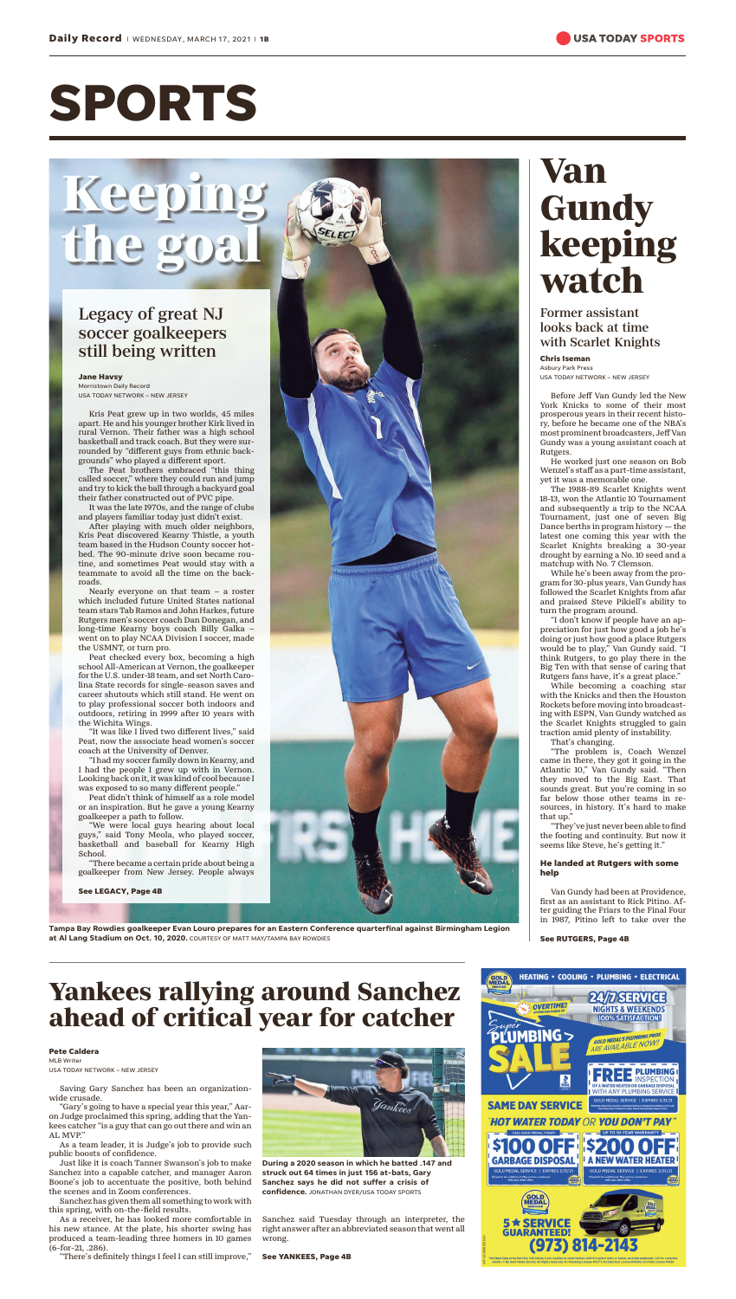# **SPORTS**

## **Keeping** the g

### Legacy of great NJ soccer goalkeepers still being written

#### **Jane Havsy**

Morristown Daily Record USA TODAY NETWORK – NEW JERSEY

Kris Peat grew up in two worlds, 45 miles apart. He and his younger brother Kirk lived in rural Vernon. Their father was a high school basketball and track coach. But they were surrounded by "different guys from ethnic backgrounds" who played a different sport.

The Peat brothers embraced "this thing called soccer," where they could run and jump and try to kick the ball through a backyard goal their father constructed out of PVC pipe.

It was the late 1970s, and the range of clubs and players familiar today just didn't exist.

After playing with much older neighbors, Kris Peat discovered Kearny Thistle, a youth team based in the Hudson County soccer hotbed. The 90-minute drive soon became routine, and sometimes Peat would stay with a teammate to avoid all the time on the backroads.

Nearly everyone on that team – a roster which included future United States national team stars Tab Ramos and John Harkes, future Rutgers men's soccer coach Dan Donegan, and long-time Kearny boys coach Billy Galka – went on to play NCAA Division I soccer, made the USMNT, or turn pro.

Peat checked every box, becoming a high school All-American at Vernon, the goalkeeper for the U.S. under-18 team, and set North Carolina State records for single-season saves and career shutouts which still stand. He went on to play professional soccer both indoors and outdoors, retiring in 1999 after 10 years with the Wichita Wings.

"It was like I lived two different lives," said Peat, now the associate head women's soccer coach at the University of Denver.

"I had my soccer family down in Kearny, and I had the people I grew up with in Vernon. Looking back on it, it was kind of cool because I was exposed to so many different people."

Peat didn't think of himself as a role model or an inspiration. But he gave a young Kearny goalkeeper a path to follow.

"We were local guys hearing about local guys," said Tony Meola, who played soccer, basketball and baseball for Kearny High School.

"There became a certain pride about being a goalkeeper from New Jersey. People always

**See LEGACY, Page 4B**